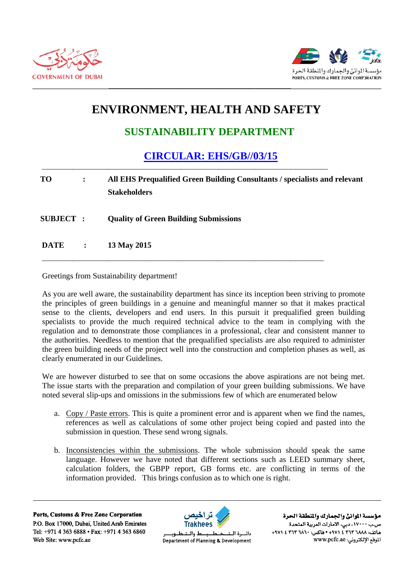



## **ENVIRONMENT, HEALTH AND SAFETY**

## **SUSTAINABILITY DEPARTMENT**

## **CIRCULAR: EHS/GB//03/15**

## **TO**  $\ddot{\cdot}$ All EHS Prequalified Green Building Consultants / specialists and relevant **Stakeholders SUBJECT: Quality of Green Building Submissions DATE** 13 May 2015  $\ddot{\cdot}$

Greetings from Sustainability department!

As you are well aware, the sustainability department has since its inception been striving to promote the principles of green buildings in a genuine and meaningful manner so that it makes practical sense to the clients, developers and end users. In this pursuit it prequalified green building specialists to provide the much required technical advice to the team in complying with the regulation and to demonstrate those compliances in a professional, clear and consistent manner to the authorities. Needless to mention that the prequalified specialists are also required to administer the green building needs of the project well into the construction and completion phases as well, as clearly enumerated in our Guidelines.

We are however disturbed to see that on some occasions the above aspirations are not being met. The issue starts with the preparation and compilation of your green building submissions. We have noted several slip-ups and omissions in the submissions few of which are enumerated below

- a. Copy / Paste errors. This is quite a prominent error and is apparent when we find the names, references as well as calculations of some other project being copied and pasted into the submission in question. These send wrong signals.
- b. Inconsistencies within the submissions. The whole submission should speak the same language. However we have noted that different sections such as LEED summary sheet, calculation folders, the GBPP report, GB forms etc. are conflicting in terms of the information provided. This brings confusion as to which one is right.

Ports, Customs & Free Zone Corporation P.O. Box 17000, Dubai, United Arab Emirates Tel: +971 4 363 6888 • Fax: +971 4 363 6860 Web Site: www.pcfc.ae



ط والــتــ دائسرة البت Department of Planning & Development

مؤسسة الموانئ والجمارك والنطقة الحرة ص.ب ١٧٠٠٠، دبي، الأمارات العربية المتحدة هاتف: ٢٦٨٨ ٢٦٣ ٤ ٤٧١ + ١٩٧٠ - خاكس: ٢٦٨٠ + ٣٦٣ ٤ ٤٧١ الموقع الإلكتروني: www.pcfc.ae